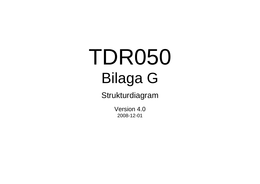# TDR050 Bilaga G

Strukturdiagram

Version 4.0 2008-12-01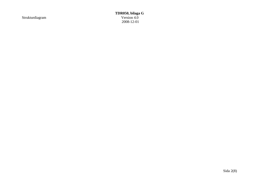$\operatorname{Strukturdiagram}$ 

## **TDR050, bilaga G**  2008-12-01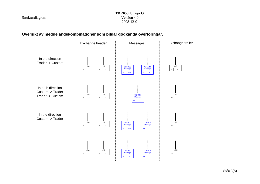#### **TDR050, bilaga G**  2008-12-01

#### **Översikt av meddelandekombinationer som bildar godkända överföringar.**

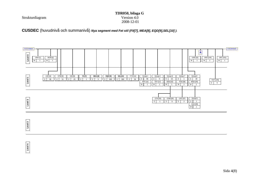#### **TDR050, bilaga G**  2008-12-01

**CUSDEC** (huvudnivå och summanivå) *Nya segment med Fet stil (FII[7], MEA[8], EQD[9],SEL[10] ).*



Level 3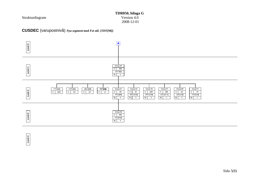## **TDR050, bilaga G**  2008-12-01

#### **CUSDEC** (varupostnivå) *Nya segment med Fet stil. (TDT[98])*

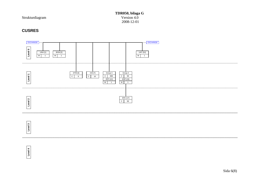## **TDR050, bilaga G**  2008-12-01

#### **CUSRES**

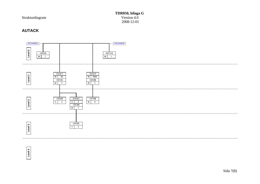## **TDR050, bilaga G**  2008-12-01

#### **AUTACK**